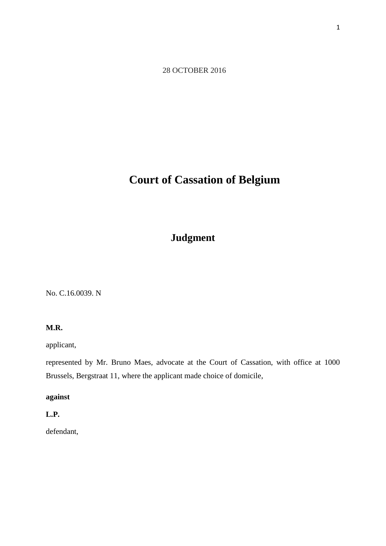28 OCTOBER 2016

# **Court of Cassation of Belgium**

# **Judgment**

No. C.16.0039. N

#### **M.R.**

applicant,

represented by Mr. Bruno Maes, advocate at the Court of Cassation, with office at 1000 Brussels, Bergstraat 11, where the applicant made choice of domicile,

## **against**

# **L.P.**

defendant,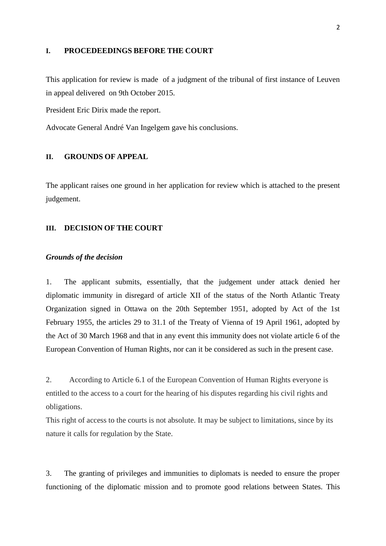#### **I. PROCEDEEDINGS BEFORE THE COURT**

This application for review is made of a judgment of the tribunal of first instance of Leuven in appeal delivered on 9th October 2015.

President Eric Dirix made the report.

Advocate General André Van Ingelgem gave his conclusions.

#### **II. GROUNDS OF APPEAL**

The applicant raises one ground in her application for review which is attached to the present judgement.

#### **III. DECISION OF THE COURT**

#### *Grounds of the decision*

1. The applicant submits, essentially, that the judgement under attack denied her diplomatic immunity in disregard of article XII of the status of the North Atlantic Treaty Organization signed in Ottawa on the 20th September 1951, adopted by Act of the 1st February 1955, the articles 29 to 31.1 of the Treaty of Vienna of 19 April 1961, adopted by the Act of 30 March 1968 and that in any event this immunity does not violate article 6 of the European Convention of Human Rights, nor can it be considered as such in the present case.

2. According to Article 6.1 of the European Convention of Human Rights everyone is entitled to the access to a court for the hearing of his disputes regarding his civil rights and obligations.

This right of access to the courts is not absolute. It may be subject to limitations, since by its nature it calls for regulation by the State.

3. The granting of privileges and immunities to diplomats is needed to ensure the proper functioning of the diplomatic mission and to promote good relations between States. This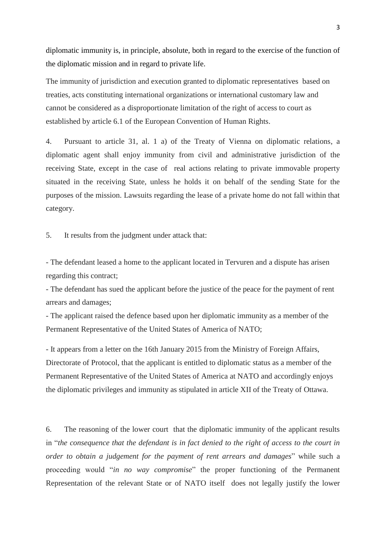diplomatic immunity is, in principle, absolute, both in regard to the exercise of the function of the diplomatic mission and in regard to private life.

The immunity of jurisdiction and execution granted to diplomatic representatives based on treaties, acts constituting international organizations or international customary law and cannot be considered as a disproportionate limitation of the right of access to court as established by article 6.1 of the European Convention of Human Rights.

4. Pursuant to article 31, al. 1 a) of the Treaty of Vienna on diplomatic relations, a diplomatic agent shall enjoy immunity from civil and administrative jurisdiction of the receiving State, except in the case of real actions relating to private immovable property situated in the receiving State, unless he holds it on behalf of the sending State for the purposes of the mission. Lawsuits regarding the lease of a private home do not fall within that category.

5. It results from the judgment under attack that:

- The defendant leased a home to the applicant located in Tervuren and a dispute has arisen regarding this contract;

- The defendant has sued the applicant before the justice of the peace for the payment of rent arrears and damages;

- The applicant raised the defence based upon her diplomatic immunity as a member of the Permanent Representative of the United States of America of NATO;

- It appears from a letter on the 16th January 2015 from the Ministry of Foreign Affairs, Directorate of Protocol, that the applicant is entitled to diplomatic status as a member of the Permanent Representative of the United States of America at NATO and accordingly enjoys the diplomatic privileges and immunity as stipulated in article XII of the Treaty of Ottawa.

6. The reasoning of the lower court that the diplomatic immunity of the applicant results in "*the consequence that the defendant is in fact denied to the right of access to the court in order to obtain a judgement for the payment of rent arrears and damages*" while such a proceeding would "*in no way compromise*" the proper functioning of the Permanent Representation of the relevant State or of NATO itself does not legally justify the lower